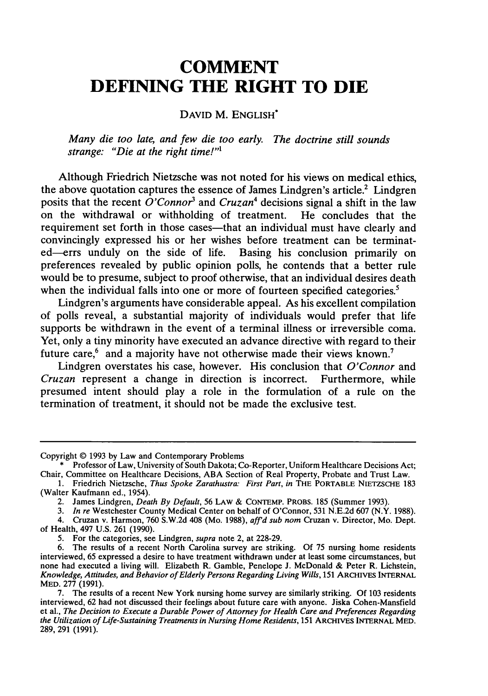## **COMMENT DEFINING THE RIGHT TO DIE**

## DAVID M. ENGLISH\*

*Many die too late, and few die too early. The doctrine still sounds strange: "Die at the right time!"1*

Although Friedrich Nietzsche was not noted for his views on medical ethics, the above quotation captures the essence of James Lindgren's article.<sup>2</sup> Lindgren posits that the recent *O'Connor'* and *Cruzan4* decisions signal a shift in the law on the withdrawal or withholding of treatment. He concludes that the requirement set forth in those cases—that an individual must have clearly and convincingly expressed his or her wishes before treatment can be terminated-errs unduly on the side of life. Basing his conclusion primarily on preferences revealed **by** public opinion polls, he contends that a better rule would be to presume, subject to proof otherwise, that an individual desires death when the individual falls into one or more of fourteen specified categories.<sup>5</sup>

Lindgren's arguments have considerable appeal. As his excellent compilation of polls reveal, a substantial majority of individuals would prefer that life supports be withdrawn in the event of a terminal illness or irreversible coma. Yet, only a tiny minority have executed an advance directive with regard to their future care, $6$  and a majority have not otherwise made their views known.<sup>7</sup>

Lindgren overstates his case, however. His conclusion that *O'Connor* and *Cruzan* represent a change in direction is incorrect. Furthermore, while presumed intent should play a role in the formulation of a rule on the termination of treatment, it should not be made the exclusive test.

Copyright © **1993 by** Law and Contemporary Problems

**<sup>\*</sup>** Professor of Law, University of South Dakota; Co-Reporter, Uniform Healthcare Decisions Act; Chair, Committee on Healthcare Decisions, **ABA** Section of Real Property, Probate and Trust Law.

**<sup>1.</sup>** Friedrich Nietzsche, *Thus Spoke Zarathustra: First Part, in* **THE PORTABLE NIETZSCHE 183** (Walter Kaufmann ed., 1954).

<sup>2.</sup> James Lindgren, *Death By Default,* 56 **LAW & CONTEMP. PROBS. 185** (Summer **1993).**

*<sup>3.</sup> In re* Westchester County Medical Center on behalf of O'Connor, **531 N.E.2d 607** (N.Y. **1988).**

<sup>4.</sup> Cruzan v. Harmon, **760 S.W.2d** 408 (Mo. **1988),** *affid sub nom* Cruzan v. Director, Mo. Dept. of Health, 497 **U.S. 261 (1990).**

**<sup>5.</sup>** For the categories, see Lindgren, *supra* **note 2, at 228-29.**

**<sup>6.</sup>** The results of a recent North Carolina survey are striking. **Of 75 nursing home residents** none had executed a living will. Elizabeth R. Gamble, Penelope J. McDonald & Peter R. Lichstein, *Knowledge, Attitudes, and Behavior of Elderly Persons Regarding Living Wills, 151 ARCHIVES INTERNAL* MED. **277 (1991).**

**<sup>7.</sup>** The results of a recent New York nursing home survey are similarly striking. **Of 103** residents interviewed, **62** had not discussed their feelings about future care with anyone. Jiska Cohen-Mansfield **et al.,** *The Decision to Execute a Durable Power of Attorney for Health Care and Preferences Regarding the Utilization of Life-Sustaining Treatments in Nursing Home Residents,* **151** ARCHIVES **INTERNAL MED. 289, 291 (1991).**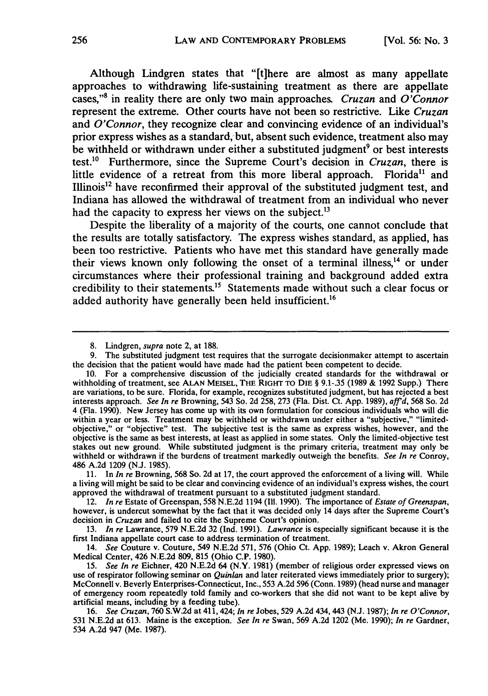Although Lindgren states that "[t]here are almost as many appellate approaches to withdrawing life-sustaining treatment as there are appellate cases,"<sup>8</sup> in reality there are only two main approaches. *Cruzan* and *O*<sup>'</sup>Connor represent the extreme. Other courts have not been so restrictive. Like *Cruzan* and *O'Connor,* they recognize clear and convincing evidence of an individual's prior express wishes as a standard, but, absent such evidence, treatment also may be withheld or withdrawn under either a substituted judgment<sup>9</sup> or best interests test.1° Furthermore, since the Supreme Court's decision in *Cruzan,* there is little evidence of a retreat from this more liberal approach. Florida<sup>11</sup> and Illinois<sup>12</sup> have reconfirmed their approval of the substituted judgment test, and Indiana has allowed the withdrawal of treatment from an individual who never had the capacity to express her views on the subject.<sup>13</sup>

Despite the liberality of a majority of the courts, one cannot conclude that the results are totally satisfactory. **The** express wishes standard, as applied, has been too restrictive. Patients who have met this standard have generally made their views known only following the onset of a terminal illness, $<sup>14</sup>$  or under</sup> circumstances where their professional training and background added extra credibility to their statements.<sup>15</sup> Statements made without such a clear focus or added authority have generally been held insufficient.<sup>16</sup>

<sup>8.</sup> Lindgren, supra note 2, at 188.

<sup>9.</sup> The substituted judgment test requires that the surrogate decisionmaker attempt to ascertain the decision that the patient would have made had the patient been competent to decide.

<sup>10.</sup> For a comprehensive discussion of the judicially created standards for the withdrawal or withholding of treatment, see **ALAN MEISEL,** THE RIGHT TO **DIE** § 9.1-.35 (1989 & 1992 Supp.) There are variations, to be sure. Florida, for example, recognizes substituted judgment, but has rejected a best interests approach. See In re Browning, 543 So. 2d 258, 273 (Fla. Dist. Ct. App. 1989),  $aff d$ , 568 So. 2d 4 (Fla. 1990). New Jersey has come up with its own formulation for conscious individuals who will die within a year or less. Treatment may be withheld or withdrawn under either a "subjective," "limitedobjective," or "objective" test. The subjective test is the same as express wishes, however, and the objective is the same as best interests, at least as applied in some states. Only the limited-objective test stakes out new ground. While substituted judgment is the primary criteria, treatment may only be withheld or withdrawn if the burdens of treatment markedly outweigh the benefits. *See In re* Conroy, 486 A.2d 1209 (N.J. 1985).

<sup>11.</sup> In *In re* Browning, **568** So. 2d at **17,** the court approved the enforcement of a living will. While a living will might be said to be clear and convincing evidence of an individual's express wishes, the court approved the withdrawal of treatment pursuant to a substituted judgment standard.

<sup>12.</sup> *In re* Estate of Greenspan, 558 N.E.2d 1194 **(I11.** 1990). The importance of *Estate of Greenspan,* however, is undercut somewhat by the fact that it was decided only 14 days after the Supreme Court's decision in *Cruzan* and failed to cite the Supreme Court's opinion.

<sup>13.</sup> *In re* Lawrance, 579 N.E.2d 32 (Ind. 1991). *Lawrance* is especially significant because it is the first Indiana appellate court case to address termination of treatment.

<sup>14.</sup> *See* Couture v. Couture, 549 N.E.2d 571, 576 (Ohio Ct. App. 1989); Leach v. Akron General Medical Center, 426 N.E.2d 809, 815 (Ohio C.P. 1980).

<sup>15.</sup> *See In re* Eichner, 420 N.E.2d 64 (N.Y. 1981) (member of religious order expressed views on use of respirator following seminar on *Quinlan* and later reiterated views immediately prior to surgery); McConnell v. Beverly Enterprises-Connecticut, Inc., 553 A.2d 596 (Conn. 1989) (head nurse and manager of emergency room repeatedly told family and co-workers that she did not want to be kept alive by artificial means, including by a feeding tube).

<sup>16.</sup> *See Cruzan,* 760 S.W.2d at 411,424; *In re* Jobes, 529 A.2d 434,443 (N.J. 1987); *In re O'Connor,* 531 N.E.2d at 613. Maine is the exception. *See In re* Swan, 569 A.2d 1202 (Me. 1990); *In re* Gardner, 534 A.2d 947 (Me. 1987).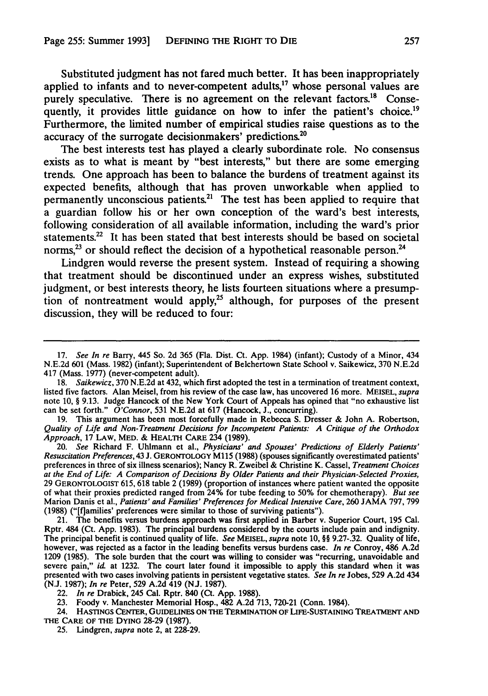Substituted judgment has not fared much better. It has been inappropriately applied to infants and to never-competent adults, $17$  whose personal values are purely speculative. There is no agreement on the relevant factors.<sup>18</sup> Consequently, it provides little guidance on how to infer the patient's choice.<sup>19</sup> Furthermore, the limited number of empirical studies raise questions as to the accuracy of the surrogate decisionmakers' predictions.<sup>20</sup>

The best interests test has played a clearly subordinate role. No consensus exists as to what is meant **by** "best interests," but there are some emerging trends. One approach has been to balance the burdens of treatment against its expected benefits, although that has proven unworkable when applied to permanently unconscious patients.<sup>21</sup> The test has been applied to require that a guardian follow his or her own conception of the ward's best interests, following consideration of all available information, including the ward's prior statements.<sup>22</sup> It has been stated that best interests should be based on societal norms,<sup>23</sup> or should reflect the decision of a hypothetical reasonable person.<sup>24</sup>

Lindgren would reverse the present system. Instead of requiring a showing that treatment should be discontinued under an express wishes, substituted judgment, or best interests theory, he lists fourteen situations where a presumption of nontreatment would apply,<sup>25</sup> although, for purposes of the present discussion, they will be reduced to four:

19. This argument has been most forcefully made in Rebecca S. Dresser & John A. Robertson, *Quality of Life and Non-Treatment Decisions for Incompetent Patients: A Critique of the Orthodox Approach,* 17 LAW, MED. & HEALTH CARE 234 (1989).

20. *See* Richard F. Uhlmann et al., *Physicians' and Spouses' Predictions of Elderly Patients' Resuscitation Preferences,* 43 **J.** GERONTOLOGY **Ml15** (1988) (spouses significantly overestimated patients' preferences in three of six illness scenarios); Nancy R. Zweibel & Christine K. Cassel, *Treatment Choices at the End of Life: A Comparison of Decisions By Older Patients and their Physician-Selected Proxies,* 29 GERONTOLOGIST 615, 618 table 2 (1989) (proportion of instances where patient wanted the opposite of what their proxies predicted ranged from 24% for tube feeding to 50% for chemotherapy). *But see* Marion Danis et al., *Patients' and Families' Preferences for Medical Intensive Care,* 260 JAMA 797, 799 (1988) ("[f]amilies' preferences were similar to those of surviving patients").

21. The benefits versus burdens approach was first applied in Barber v. Superior Court, 195 Cal. Rptr. 484 (Ct. App. 1983). The principal burdens considered by the courts include pain and indignity. The principal benefit is continued quality of life. *See* MEISEL, *supra* note 10, §§ 9.27-.32. Quality of life, however, was rejected as a factor in the leading benefits versus burdens case. *In re* Conroy, 486 A.2d 1209 (1985). The sole burden that the court was willing to consider was "recurring, unavoidable and severe pain," id. at 1232. The court later found it impossible to apply this standard when it was presented with two cases involving patients in persistent vegetative states. *See In re* Jobes, 529 A.2d 434 (N.J. 1987); *In re* Peter, 529 A.2d 419 (NJ. 1987).

- 24. **HASTINGS CENTER, GUIDELINES ON THE** TERMINATION OF LiFE-SUSTAINING TREATMENT **AND THE** CARE **OF THE DYING** 28-29 (1987).
	- 25. Lindgren, *supra* note 2, at 228-29.

**<sup>17.</sup>** See In re Barry, 445 So. **2d 365** (Fla. Dist. Ct. **App.** 1984) (infant); Custody of a Minor, 434 **N.E.2d 601** (Mass. 1982) (infant); Superintendent of Belchertown State School v. Saikewicz, **370 N.E.2d** 417 (Mass. 1977) (never-competent adult).

<sup>18.</sup> Saikewicz, 370 N.E.2d at 432, which first adopted the test in a termination of treatment context, listed five factors. Alan Meisel, from his review of the case law, has uncovered 16 more. MEISEL, *supra* note 10, § 9.13. Judge Hancock of the New York Court of Appeals has opined that "no exhaustive list can be set forth."  $O'Connor$ , 531 N.E.2d at 617 (Hancock, J., concurring).

<sup>22.</sup> *In re* Drabick, 245 Cal. Rptr. 840 (Ct. App. 1988).

<sup>23.</sup> Foody v. Manchester Memorial Hosp., 482 A.2d 713, 720-21 (Conn. 1984).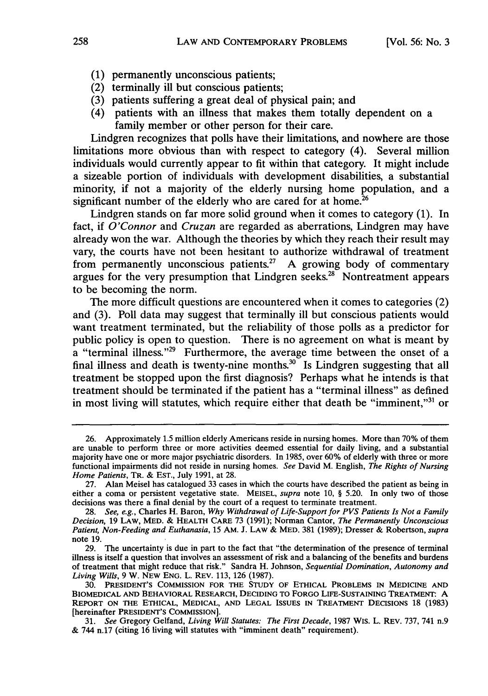- (1) permanently unconscious patients;
- (2) terminally ill but conscious patients;
- (3) patients suffering a great deal of physical pain; and
- (4) patients with an illness that makes them totally dependent on a family member or other person for their care.

Lindgren recognizes that polls have their limitations, and nowhere are those limitations more obvious than with respect to category (4). Several million individuals would currently appear to fit within that category. It might include a sizeable portion of individuals with development disabilities, a substantial minority, if not a majority of the elderly nursing home population, and a significant number of the elderly who are cared for at home.<sup>26</sup>

Lindgren stands on far more solid ground when it comes to category (1). In fact, if *O'Connor* and *Cruzan* are regarded as aberrations, Lindgren may have already won the war. Although the theories by which they reach their result may vary, the courts have not been hesitant to authorize withdrawal of treatment from permanently unconscious patients.<sup>27</sup> A growing body of commentary argues for the very presumption that Lindgren seeks. $28$  Nontreatment appears to be becoming the norm.

The more difficult questions are encountered when it comes to categories (2) and (3). Poll data may suggest that terminally ill but conscious patients would want treatment terminated, but the reliability of those polls as a predictor for public policy is open to question. There is no agreement on what is meant by a "terminal illness."<sup>29</sup> Furthermore, the average time between the onset of a final illness and death is twenty-nine months. $30^{\circ}$  Is Lindgren suggesting that all treatment be stopped upon the first diagnosis? Perhaps what he intends is that treatment should be terminated if the patient has a "terminal illness" as defined in most living will statutes, which require either that death be "imminent," $31$  or

<sup>26.</sup> Approximately **1.5** million elderly Americans reside in nursing homes. More than 70% of them are unable to perform three or more activities deemed essential for daily living, and a substantial majority have one or more major psychiatric disorders. In 1985, over 60% of elderly with three or more functional impairments did not reside in nursing homes. See David M. English, *The Rights of Nursing Home Patients, TR.* & EST., July 1991, at 28.

<sup>27.</sup> Alan Meisel has catalogued 33 cases in which the courts have described the patient as being in either a coma or persistent vegetative state. **MEISEL,** *supra* note **10,** § 5.20. In only two of those decisions was there a final denial by the court of a request to terminate treatment.

<sup>28.</sup> *See, e.g.,* Charles H. Baron, *Why Withdrawal of Life-Support for PVS Patients Is Not a Family Decision,* 19 LAW, MED. **&** HEALTH CARE 73 (1991); Norman Cantor, *The Permanently Unconscious Patient, Non-Feeding and Euthanasia,* 15 AM. J. LAW **&** MED. 381 (1989); Dresser & Robertson, *supra* note **19.**

<sup>29.</sup> The uncertainty is due in part to the fact that "the determination of the presence of terminal illness is itself a question that involves an assessment of risk and a balancing of the benefits and burdens of treatment that might reduce that risk." Sandra H. Johnson, *Sequential Domination, Autonomy and Living Wills,* 9 W. NEW ENG. L. REV. 113, 126 (1987).

<sup>30.</sup> **PRESIDENT'S** COMMISSION FOR THE **STUDY** OF ETHICAL PROBLEMS **IN** MEDICINE **AND** BIOMEDICAL **AND** BEHAVIORAL RESEARCH, DECIDING TO FORGO LIFE-SUSTAINING TREATMENT: **A** REPORT **ON THE** ETHICAL, **MEDICAL, AND LEGAL ISSUES** IN TREATMENT DECISIONS **18** (1983) [hereinafter PRESIDENT'S **COMMISSION].**

**<sup>31.</sup>** *See* Gregory Gelfand, *Living Will Statutes: The First Decade,* 1987 Wis. L. REv. **737,** 741 n.9 & 744 n.17 (citing **16** living will statutes with "imminent death" requirement).